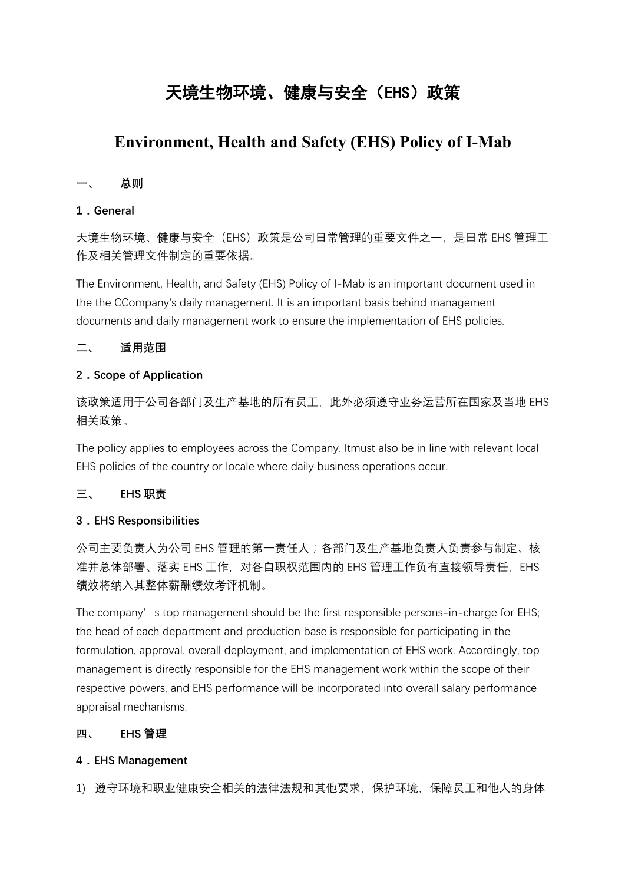# 天境生物环境、健康与安全(EHS)政策

# **Environment, Health and Safety (EHS) Policy of I-Mab**

# **一、 总则**

#### **1.General**

天境生物环境、健康与安全(EHS)政策是公司日常管理的重要文件之一,是日常 EHS 管理工 作及相关管理文件制定的重要依据。

The Environment, Health, and Safety (EHS) Policy of I-Mab is an important document used in the the CCompany's daily management. It is an important basis behind management documents and daily management work to ensure the implementation of EHS policies.

#### **二、 适用范围**

#### **2.Scope of Application**

该政策适用于公司各部门及生产基地的所有员工, 此外必须遵守业务运营所在国家及当地 EHS 相关政策。

The policy applies to employees across the Company. Itmust also be in line with relevant local EHS policies of the country or locale where daily business operations occur.

#### **三、 EHS 职责**

#### **3.EHS Responsibilities**

公司主要负责人为公司 EHS 管理的第一责任人;各部门及生产基地负责人负责参与制定、核 准并总体部署、落实 EHS 工作, 对各自职权范围内的 EHS 管理工作负有直接领导责任, EHS 绩效将纳入其整体薪酬绩效考评机制。

The company' s top management should be the first responsible persons-in-charge for EHS; the head of each department and production base is responsible for participating in the formulation, approval, overall deployment, and implementation of EHS work. Accordingly, top management is directly responsible for the EHS management work within the scope of their respective powers, and EHS performance will be incorporated into overall salary performance appraisal mechanisms.

#### **四、 EHS 管理**

#### **4.EHS Management**

1) 遵守环境和职业健康安全相关的法律法规和其他要求,保护环境,保障员工和他人的身体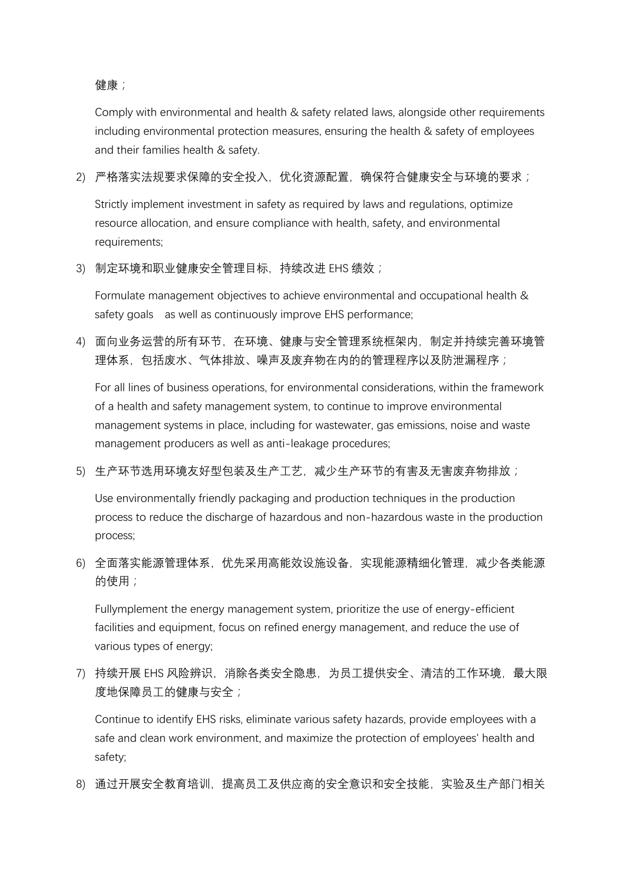健康;

Comply with environmental and health & safety related laws, alongside other requirements including environmental protection measures, ensuring the health & safety of employees and their families health & safety.

2) 严格落实法规要求保障的安全投入,优化资源配置,确保符合健康安全与环境的要求;

Strictly implement investment in safety as required by laws and regulations, optimize resource allocation, and ensure compliance with health, safety, and environmental requirements;

3) 制定环境和职业健康安全管理目标,持续改进 EHS 绩效;

Formulate management objectives to achieve environmental and occupational health & safety goals as well as continuously improve EHS performance;

4) 面向业务运营的所有环节, 在环境、健康与安全管理系统框架内, 制定并持续完善环境管 理体系,包括废水、气体排放、噪声及废弃物在内的的管理程序以及防泄漏程序;

For all lines of business operations, for environmental considerations, within the framework of a health and safety management system, to continue to improve environmental management systems in place, including for wastewater, gas emissions, noise and waste management producers as well as anti-leakage procedures;

5) 生产环节选用环境友好型包装及生产工艺,减少生产环节的有害及无害废弃物排放;

Use environmentally friendly packaging and production techniques in the production process to reduce the discharge of hazardous and non-hazardous waste in the production process;

6) 全面落实能源管理体系,优先采用高能效设施设备,实现能源精细化管理,减少各类能源 的使用;

Fullymplement the energy management system, prioritize the use of energy-efficient facilities and equipment, focus on refined energy management, and reduce the use of various types of energy;

7) 持续开展 EHS 风险辨识, 消除各类安全隐患, 为员工提供安全、清洁的工作环境, 最大限 度地保障员工的健康与安全;

Continue to identify EHS risks, eliminate various safety hazards, provide employees with a safe and clean work environment, and maximize the protection of employees' health and safety;

8) 通过开展安全教育培训,提高员工及供应商的安全意识和安全技能,实验及生产部门相关